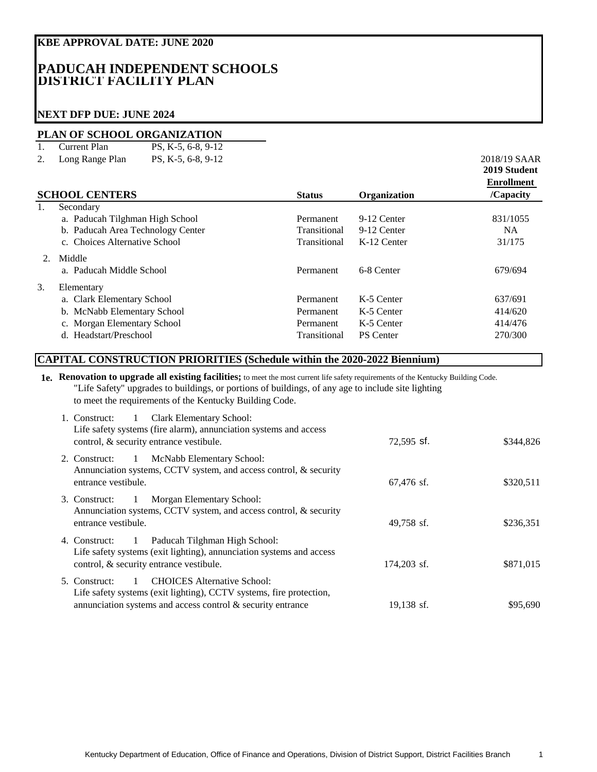## **KBE APPROVAL DATE: JUNE 2020**

## **PADUCAH INDEPENDENT SCHOOLS DISTRICT FACILITY PLAN**

## **NEXT DFP DUE: JUNE 2024**

## **PLAN OF SCHOOL ORGANIZATION**

| Current Plan       | PS, K-5, 6-8, 9-12 |              |
|--------------------|--------------------|--------------|
| 2. Long Range Plan | PS. K-5, 6-8, 9-12 | 2018/19 SAAR |

| $L_{\text{OII}}$ $_{\text{A}}$ $_{\text{AIII}}$ $_{\text{AIII}}$<br>10, 110, 000, 712<br><b>SCHOOL CENTERS</b> | Organization<br><b>Status</b>                                        |                  |             |
|----------------------------------------------------------------------------------------------------------------|----------------------------------------------------------------------|------------------|-------------|
| Secondary                                                                                                      |                                                                      |                  |             |
|                                                                                                                |                                                                      |                  | 831/1055    |
|                                                                                                                | Transitional                                                         | 9-12 Center      | NA.         |
| c. Choices Alternative School                                                                                  | Transitional                                                         | K-12 Center      | 31/175      |
| Middle                                                                                                         |                                                                      |                  |             |
| a. Paducah Middle School                                                                                       | Permanent                                                            | 6-8 Center       | 679/694     |
| Elementary                                                                                                     |                                                                      |                  |             |
| a. Clark Elementary School                                                                                     | Permanent                                                            | K-5 Center       | 637/691     |
| b. McNabb Elementary School                                                                                    | Permanent                                                            | K-5 Center       | 414/620     |
| c. Morgan Elementary School                                                                                    | Permanent                                                            | K-5 Center       | 414/476     |
| d. Headstart/Preschool                                                                                         | Transitional                                                         | <b>PS</b> Center | 270/300     |
|                                                                                                                | a. Paducah Tilghman High School<br>b. Paducah Area Technology Center | Permanent        | 9-12 Center |

## **CAPITAL CONSTRUCTION PRIORITIES (Schedule within the 2020-2022 Biennium)**

**1e. Renovation to upgrade all existing facilities;** to meet the most current life safety requirements of the Kentucky Building Code. "Life Safety" upgrades to buildings, or portions of buildings, of any age to include site lighting to meet the requirements of the Kentucky Building Code.

| Clark Elementary School:<br>1. Construct:<br>$\mathbf{1}$<br>Life safety systems (fire alarm), annunciation systems and access<br>control, & security entrance vestibule.                                      | $72,595$ sf. | \$344,826 |
|----------------------------------------------------------------------------------------------------------------------------------------------------------------------------------------------------------------|--------------|-----------|
| McNabb Elementary School:<br>$\mathbf{1}$<br>2. Construct:<br>Annunciation systems, CCTV system, and access control, $\&$ security<br>entrance vestibule.                                                      | 67.476 sf.   | \$320,511 |
| Morgan Elementary School:<br>3. Construct:<br>1<br>Annunciation systems, CCTV system, and access control, $\&$ security<br>entrance vestibule.                                                                 | 49,758 sf.   | \$236,351 |
| Paducah Tilghman High School:<br>4. Construct:<br>$\blacksquare$<br>Life safety systems (exit lighting), annunciation systems and access<br>control, & security entrance vestibule.                            | 174,203 sf.  | \$871,015 |
| <b>CHOICES</b> Alternative School:<br>5. Construct:<br>$\overline{1}$<br>Life safety systems (exit lighting), CCTV systems, fire protection,<br>annunciation systems and access control $\&$ security entrance | 19,138 sf.   | \$95,690  |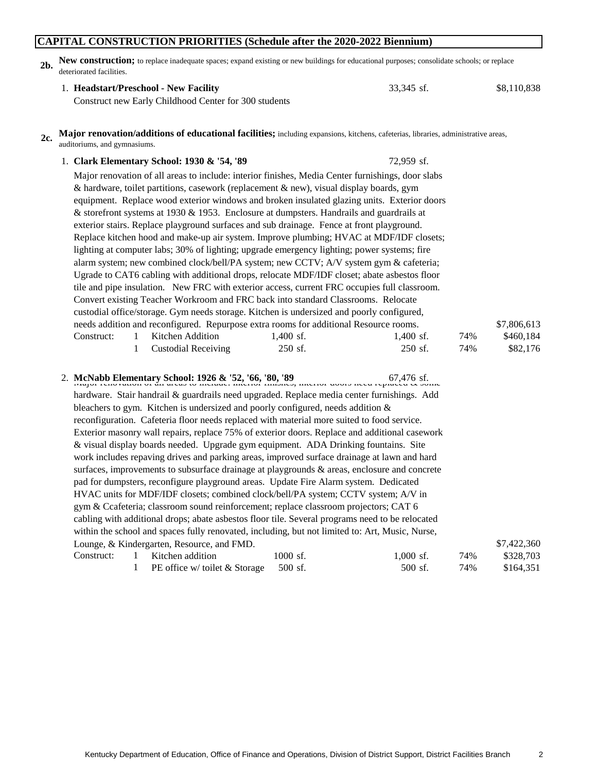## **CAPITAL CONSTRUCTION PRIORITIES (Schedule after the 2020-2022 Biennium)**

**2b. New construction;** to replace inadequate spaces; expand existing or new buildings for educational purposes; consolidate schools; or replace deteriorated facilities.

### 1. 33,345 sf. \$8,110,838 **Headstart/Preschool - New Facility**

Construct new Early Childhood Center for 300 students

#### **2c. Major renovation/additions of educational facilities;** including expansions, kitchens, cafeterias, libraries, administrative areas, auditoriums, and gymnasiums.

| 1. Clark Elementary School: 1930 & '54, '89                                                                                                            | 72,959 sf.                                                                               |     |             |  |  |
|--------------------------------------------------------------------------------------------------------------------------------------------------------|------------------------------------------------------------------------------------------|-----|-------------|--|--|
| Major renovation of all areas to include: interior finishes, Media Center furnishings, door slabs                                                      |                                                                                          |     |             |  |  |
| & hardware, toilet partitions, casework (replacement & new), visual display boards, gym                                                                |                                                                                          |     |             |  |  |
| equipment. Replace wood exterior windows and broken insulated glazing units. Exterior doors                                                            |                                                                                          |     |             |  |  |
|                                                                                                                                                        | & storefront systems at 1930 & 1953. Enclosure at dumpsters. Handrails and guardrails at |     |             |  |  |
| exterior stairs. Replace playground surfaces and sub drainage. Fence at front playground.                                                              |                                                                                          |     |             |  |  |
| Replace kitchen hood and make-up air system. Improve plumbing; HVAC at MDF/IDF closets;                                                                |                                                                                          |     |             |  |  |
| lighting at computer labs; 30% of lighting; upgrade emergency lighting; power systems; fire                                                            |                                                                                          |     |             |  |  |
| alarm system; new combined clock/bell/PA system; new CCTV; A/V system gym & cafeteria;                                                                 |                                                                                          |     |             |  |  |
| Ugrade to CAT6 cabling with additional drops, relocate MDF/IDF closet; abate asbestos floor                                                            |                                                                                          |     |             |  |  |
| tile and pipe insulation. New FRC with exterior access, current FRC occupies full classroom.                                                           |                                                                                          |     |             |  |  |
| Convert existing Teacher Workroom and FRC back into standard Classrooms. Relocate                                                                      |                                                                                          |     |             |  |  |
| custodial office/storage. Gym needs storage. Kitchen is undersized and poorly configured,                                                              |                                                                                          |     |             |  |  |
| needs addition and reconfigured. Repurpose extra rooms for additional Resource rooms.                                                                  |                                                                                          |     | \$7,806,613 |  |  |
| Kitchen Addition<br>Construct:<br>$1,400$ sf.<br>1                                                                                                     | 1,400 sf.                                                                                | 74% | \$460,184   |  |  |
| <b>Custodial Receiving</b><br>250 sf.<br>1                                                                                                             | 250 sf.                                                                                  | 74% | \$82,176    |  |  |
|                                                                                                                                                        |                                                                                          |     |             |  |  |
| 2. McNabb Elementary School: 1926 & '52, '66, '80, '89<br>region renovation of an areas to mergine. microre missies, micror goods need replaced & some |                                                                                          |     |             |  |  |
| hardware. Stair handrail & guardrails need upgraded. Replace media center furnishings. Add                                                             |                                                                                          |     |             |  |  |
| bleachers to gym. Kitchen is undersized and poorly configured, needs addition $\&$                                                                     |                                                                                          |     |             |  |  |
| reconfiguration. Cafeteria floor needs replaced with material more suited to food service.                                                             |                                                                                          |     |             |  |  |
| Exterior masonry wall repairs, replace 75% of exterior doors. Replace and additional casework                                                          |                                                                                          |     |             |  |  |
| & visual display boards needed. Upgrade gym equipment. ADA Drinking fountains. Site                                                                    |                                                                                          |     |             |  |  |
| work includes repaving drives and parking areas, improved surface drainage at lawn and hard                                                            |                                                                                          |     |             |  |  |
| surfaces, improvements to subsurface drainage at playgrounds $\&$ areas, enclosure and concrete                                                        |                                                                                          |     |             |  |  |
| pad for dumpsters, reconfigure playground areas. Update Fire Alarm system. Dedicated                                                                   |                                                                                          |     |             |  |  |
| HVAC units for MDF/IDF closets; combined clock/bell/PA system; CCTV system; A/V in                                                                     |                                                                                          |     |             |  |  |
| gym & Ccafeteria; classroom sound reinforcement; replace classroom projectors; CAT 6                                                                   |                                                                                          |     |             |  |  |
| cabling with additional drops; abate asbestos floor tile. Several programs need to be relocated                                                        |                                                                                          |     |             |  |  |
| within the school and spaces fully renovated, including, but not limited to: Art, Music, Nurse,                                                        |                                                                                          |     |             |  |  |
| Lounge, & Kindergarten, Resource, and FMD.                                                                                                             |                                                                                          |     | \$7,422,360 |  |  |
| Construct:<br>Kitchen addition<br>1000 sf.<br>$\mathbf{1}$                                                                                             | $1,000$ sf.                                                                              | 74% | \$328,703   |  |  |
| 1<br>PE office w/ toilet & Storage<br>500 sf.                                                                                                          | 500 sf.                                                                                  | 74% | \$164,351   |  |  |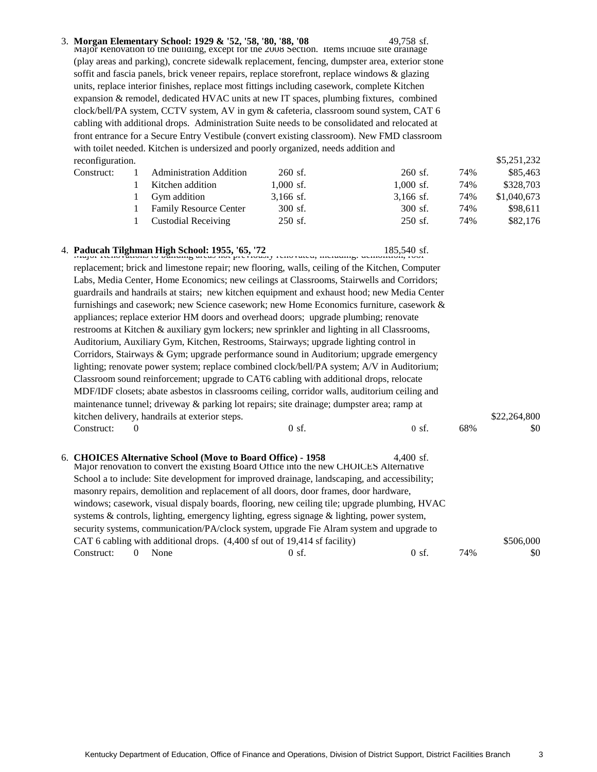3. 49,758 sf. Major Renovation to the building, except for the 2008 Section. Items include site drainage **Morgan Elementary School: 1929 & '52, '58, '80, '88, '08** (play areas and parking), concrete sidewalk replacement, fencing, dumpster area, exterior stone soffit and fascia panels, brick veneer repairs, replace storefront, replace windows & glazing units, replace interior finishes, replace most fittings including casework, complete Kitchen expansion & remodel, dedicated HVAC units at new IT spaces, plumbing fixtures, combined clock/bell/PA system, CCTV system, AV in gym & cafeteria, classroom sound system, CAT 6 cabling with additional drops. Administration Suite needs to be consolidated and relocated at front entrance for a Secure Entry Vestibule (convert existing classroom). New FMD classroom with toilet needed. Kitchen is undersized and poorly organized, needs addition and reconfiguration.

| Construct: | <b>Administration Addition</b> | $260$ sf.   | $260$ sf.   | 74% | \$85,463    |
|------------|--------------------------------|-------------|-------------|-----|-------------|
|            | Kitchen addition               | $1.000$ sf. | $1,000$ sf. | 74% | \$328,703   |
|            | Gym addition                   | $3,166$ sf. | $3,166$ sf. | 74% | \$1,040,673 |
|            | <b>Family Resource Center</b>  | $300$ sf.   | 300 sf.     | 74% | \$98.611    |
|            | <b>Custodial Receiving</b>     | $250$ sf.   | $250$ sf.   | 74% | \$82,176    |

|                                                                                              | 4. Paducah Tilghman High School: 1955, '65, '72<br>185,540 straper recovalized we can be also not previously renovated, including. demonded, root     |                 | 185,540 sf.     |     |              |
|----------------------------------------------------------------------------------------------|-------------------------------------------------------------------------------------------------------------------------------------------------------|-----------------|-----------------|-----|--------------|
|                                                                                              | replacement; brick and limestone repair; new flooring, walls, ceiling of the Kitchen, Computer                                                        |                 |                 |     |              |
|                                                                                              | Labs, Media Center, Home Economics; new ceilings at Classrooms, Stairwells and Corridors;                                                             |                 |                 |     |              |
| guardrails and handrails at stairs; new kitchen equipment and exhaust hood; new Media Center |                                                                                                                                                       |                 |                 |     |              |
|                                                                                              | furnishings and casework; new Science casework; new Home Economics furniture, casework &                                                              |                 |                 |     |              |
|                                                                                              | appliances; replace exterior HM doors and overhead doors; upgrade plumbing; renovate                                                                  |                 |                 |     |              |
|                                                                                              | restrooms at Kitchen & auxiliary gym lockers; new sprinkler and lighting in all Classrooms,                                                           |                 |                 |     |              |
|                                                                                              | Auditorium, Auxiliary Gym, Kitchen, Restrooms, Stairways; upgrade lighting control in                                                                 |                 |                 |     |              |
|                                                                                              | Corridors, Stairways & Gym; upgrade performance sound in Auditorium; upgrade emergency                                                                |                 |                 |     |              |
|                                                                                              | lighting; renovate power system; replace combined clock/bell/PA system; A/V in Auditorium;                                                            |                 |                 |     |              |
|                                                                                              | Classroom sound reinforcement; upgrade to CAT6 cabling with additional drops, relocate                                                                |                 |                 |     |              |
|                                                                                              | MDF/IDF closets; abate asbestos in classrooms ceiling, corridor walls, auditorium ceiling and                                                         |                 |                 |     |              |
|                                                                                              | maintenance tunnel; driveway & parking lot repairs; site drainage; dumpster area; ramp at                                                             |                 |                 |     |              |
|                                                                                              | kitchen delivery, handrails at exterior steps.                                                                                                        |                 |                 |     | \$22,264,800 |
|                                                                                              | Construct:<br>$\Omega$                                                                                                                                | $0 \text{ sf.}$ | $0 \text{ sf.}$ | 68% | \$0          |
|                                                                                              |                                                                                                                                                       |                 |                 |     |              |
|                                                                                              |                                                                                                                                                       |                 |                 |     |              |
|                                                                                              | 6. CHOICES Alternative School (Move to Board Office) - 1958<br>Major renovation to convert the existing Board Office into the new CHOICES Alternative |                 | 4.400 sf.       |     |              |
|                                                                                              | School a to include: Site development for improved drainage, landscaping, and accessibility;                                                          |                 |                 |     |              |
|                                                                                              | masonry repairs, demolition and replacement of all doors, door frames, door hardware,                                                                 |                 |                 |     |              |
|                                                                                              | windows; casework, visual dispaly boards, flooring, new ceiling tile; upgrade plumbing, HVAC                                                          |                 |                 |     |              |
|                                                                                              | systems $\&$ controls, lighting, emergency lighting, egress signage $\&$ lighting, power system,                                                      |                 |                 |     |              |
|                                                                                              | security systems, communication/PA/clock system, upgrade Fie Alram system and upgrade to                                                              |                 |                 |     |              |
|                                                                                              | CAT 6 cabling with additional drops. (4,400 sf out of 19,414 sf facility)                                                                             |                 |                 |     | \$506,000    |
|                                                                                              | None<br>$\theta$<br>Construct:                                                                                                                        | $0 \text{ sf.}$ | $0 \text{ sf.}$ | 74% | \$0          |

Kentucky Department of Education, Office of Finance and Operations, Division of District Support, District Facilities Branch 3

\$5,251,232